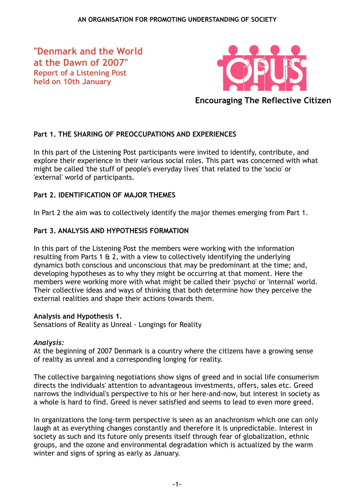**"Denmark and the World at the Dawn of 2007" Report of a Listening Post held on 10th January**



**Encouraging The Reflective Citizen**

# **Part 1. THE SHARING OF PREOCCUPATIONS AND EXPERIENCES**

In this part of the Listening Post participants were invited to identify, contribute, and explore their experience in their various social roles. This part was concerned with what might be called 'the stuff of people's everyday lives' that related to the 'socio' or 'external' world of participants.

## **Part 2. IDENTIFICATION OF MAJOR THEMES**

In Part 2 the aim was to collectively identify the major themes emerging from Part 1.

## **Part 3. ANALYSIS AND HYPOTHESIS FORMATION**

In this part of the Listening Post the members were working with the information resulting from Parts 1 & 2, with a view to collectively identifying the underlying dynamics both conscious and unconscious that may be predominant at the time; and, developing hypotheses as to why they might be occurring at that moment. Here the members were working more with what might be called their 'psycho' or 'internal' world. Their collective ideas and ways of thinking that both determine how they perceive the external realities and shape their actions towards them.

## **Analysis and Hypothesis 1.**

Sensations of Reality as Unreal - Longings for Reality

## *Analysis:*

At the beginning of 2007 Denmark is a country where the citizens have a growing sense of reality as unreal and a corresponding longing for reality.

The collective bargaining negotiations show signs of greed and in social life consumerism directs the individuals' attention to advantageous investments, offers, sales etc. Greed narrows the individual's perspective to his or her here-and-now, but interest in society as a whole is hard to find. Greed is never satisfied and seems to lead to even more greed.

In organizations the long-term perspective is seen as an anachronism which one can only laugh at as everything changes constantly and therefore it is unpredictable. Interest in society as such and its future only presents itself through fear of globalization, ethnic groups, and the ozone and environmental degradation which is actualized by the warm winter and signs of spring as early as January.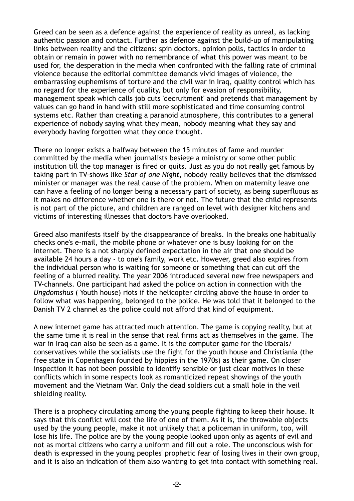Greed can be seen as a defence against the experience of reality as unreal, as lacking authentic passion and contact. Further as defence against the build-up of manipulating links between reality and the citizens: spin doctors, opinion polls, tactics in order to obtain or remain in power with no remembrance of what this power was meant to be used for, the desperation in the media when confronted with the falling rate of criminal violence because the editorial committee demands vivid images of violence, the embarrassing euphemisms of torture and the civil war in Iraq, quality control which has no regard for the experience of quality, but only for evasion of responsibility, management speak which calls job cuts 'decruitment' and pretends that management by values can go hand in hand with still more sophisticated and time consuming control systems etc. Rather than creating a paranoid atmosphere, this contributes to a general experience of nobody saying what they mean, nobody meaning what they say and everybody having forgotten what they once thought.

There no longer exists a halfway between the 15 minutes of fame and murder committed by the media when journalists besiege a ministry or some other public institution till the top manager is fired or quits. Just as you do not really get famous by taking part in TV-shows like *Star of one Night,* nobody really believes that the dismissed minister or manager was the real cause of the problem. When on maternity leave one can have a feeling of no longer being a necessary part of society, as being superfluous as it makes no difference whether one is there or not. The future that the child represents is not part of the picture, and children are ranged on level with designer kitchens and victims of interesting illnesses that doctors have overlooked.

Greed also manifests itself by the disappearance of breaks. In the breaks one habitually checks one's e-mail, the mobile phone or whatever one is busy looking for on the internet. There is a not sharply defined expectation in the air that one should be available 24 hours a day - to one's family, work etc. However, greed also expires from the individual person who is waiting for someone or something that can cut off the feeling of a blurred reality. The year 2006 introduced several new free newspapers and TV-channels. One participant had asked the police on action in connection with the *Ungdomshus* ( Youth house) riots if the helicopter circling above the house in order to follow what was happening, belonged to the police. He was told that it belonged to the Danish TV 2 channel as the police could not afford that kind of equipment.

A new internet game has attracted much attention. The game is copying reality, but at the same time it is real in the sense that real firms act as themselves in the game. The war in Iraq can also be seen as a game. It is the computer game for the liberals/ conservatives while the socialists use the fight for the youth house and Christiania (the free state in Copenhagen founded by hippies in the 1970s) as their game. On closer inspection it has not been possible to identify sensible or just clear motives in these conflicts which in some respects look as romanticized repeat showings of the youth movement and the Vietnam War. Only the dead soldiers cut a small hole in the veil shielding reality.

There is a prophecy circulating among the young people fighting to keep their house. It says that this conflict will cost the life of one of them. As it is, the throwable objects used by the young people, make it not unlikely that a policeman in uniform, too, will lose his life. The police are by the young people looked upon only as agents of evil and not as mortal citizens who carry a uniform and fill out a role. The unconscious wish for death is expressed in the young peoples' prophetic fear of losing lives in their own group, and it is also an indication of them also wanting to get into contact with something real.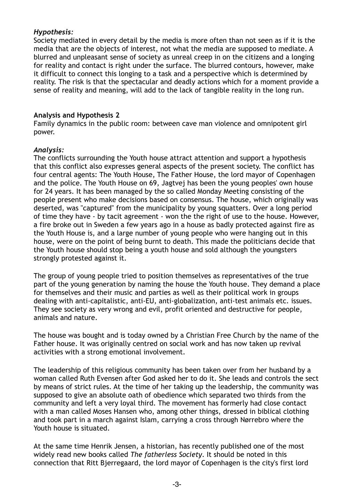## *Hypothesis:*

Society mediated in every detail by the media is more often than not seen as if it is the media that are the objects of interest, not what the media are supposed to mediate. A blurred and unpleasant sense of society as unreal creep in on the citizens and a longing for reality and contact is right under the surface. The blurred contours, however, make it difficult to connect this longing to a task and a perspective which is determined by reality. The risk is that the spectacular and deadly actions which for a moment provide a sense of reality and meaning, will add to the lack of tangible reality in the long run.

## **Analysis and Hypothesis 2**

Family dynamics in the public room: between cave man violence and omnipotent girl power.

## *Analysis:*

The conflicts surrounding the Youth house attract attention and support a hypothesis that this conflict also expresses general aspects of the present society. The conflict has four central agents: The Youth House, The Father House, the lord mayor of Copenhagen and the police. The Youth House on 69, Jagtvej has been the young peoples' own house for 24 years. It has been managed by the so called Monday Meeting consisting of the people present who make decisions based on consensus. The house, which originally was deserted, was "captured" from the municipality by young squatters. Over a long period of time they have - by tacit agreement - won the the right of use to the house. However, a fire broke out in Sweden a few years ago in a house as badly protected against fire as the Youth House is, and a large number of young people who were hanging out in this house, were on the point of being burnt to death. This made the politicians decide that the Youth house should stop being a youth house and sold although the youngsters strongly protested against it.

The group of young people tried to position themselves as representatives of the true part of the young generation by naming the house the Youth house. They demand a place for themselves and their music and parties as well as their political work in groups dealing with anti-capitalistic, anti-EU, anti-globalization, anti-test animals etc. issues. They see society as very wrong and evil, profit oriented and destructive for people, animals and nature.

The house was bought and is today owned by a Christian Free Church by the name of the Father house. It was originally centred on social work and has now taken up revival activities with a strong emotional involvement.

The leadership of this religious community has been taken over from her husband by a woman called Ruth Evensen after God asked her to do it. She leads and controls the sect by means of strict rules. At the time of her taking up the leadership, the community was supposed to give an absolute oath of obedience which separated two thirds from the community and left a very loyal third. The movement has formerly had close contact with a man called Moses Hansen who, among other things, dressed in biblical clothing and took part in a march against Islam, carrying a cross through Nørrebro where the Youth house is situated.

At the same time Henrik Jensen, a historian, has recently published one of the most widely read new books called *The fatherless Society*. It should be noted in this connection that Ritt Bjerregaard, the lord mayor of Copenhagen is the city's first lord